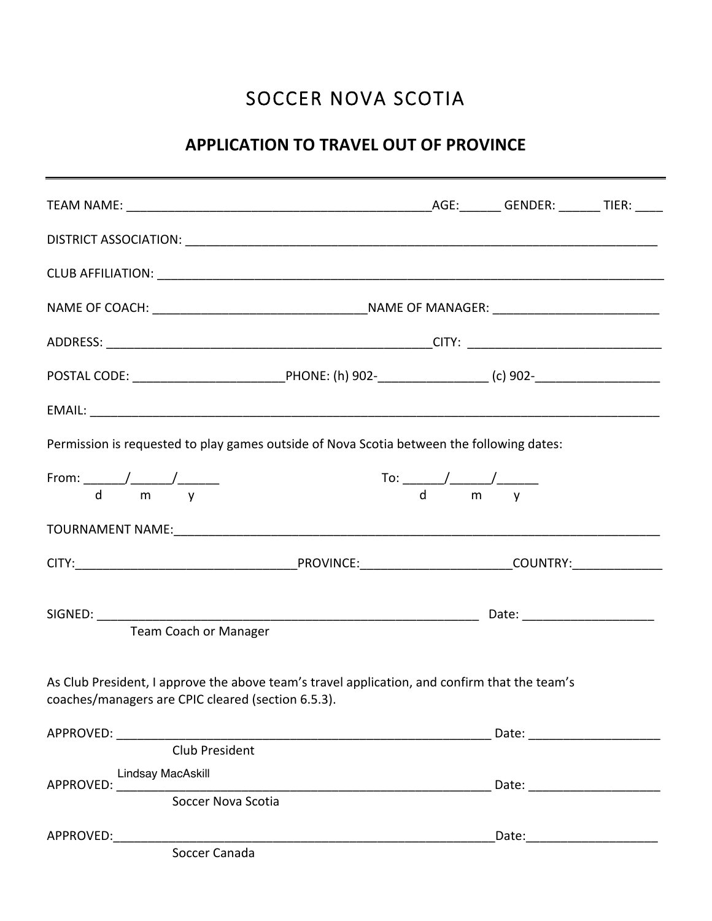## SOCCER NOVA SCOTIA

## **APPLICATION TO TRAVEL OUT OF PROVINCE**

| Permission is requested to play games outside of Nova Scotia between the following dates:                                                           |                                               |  |                         |  |
|-----------------------------------------------------------------------------------------------------------------------------------------------------|-----------------------------------------------|--|-------------------------|--|
| From: $\frac{1}{d}$ m v<br>$\mathbf d$<br>m                                                                                                         | $\frac{1}{d}$ To: $\frac{1}{m}$ $\frac{1}{y}$ |  |                         |  |
|                                                                                                                                                     |                                               |  |                         |  |
|                                                                                                                                                     |                                               |  |                         |  |
|                                                                                                                                                     |                                               |  |                         |  |
| <b>Team Coach or Manager</b>                                                                                                                        |                                               |  |                         |  |
| As Club President, I approve the above team's travel application, and confirm that the team's<br>coaches/managers are CPIC cleared (section 6.5.3). |                                               |  |                         |  |
|                                                                                                                                                     |                                               |  |                         |  |
| Club President                                                                                                                                      |                                               |  |                         |  |
| Lindsay MacAskill<br>APPROVED:<br>Soccer Nova Scotia                                                                                                |                                               |  |                         |  |
|                                                                                                                                                     |                                               |  |                         |  |
| APPROVED:                                                                                                                                           |                                               |  | Date: _________________ |  |
| Soccer Canada                                                                                                                                       |                                               |  |                         |  |